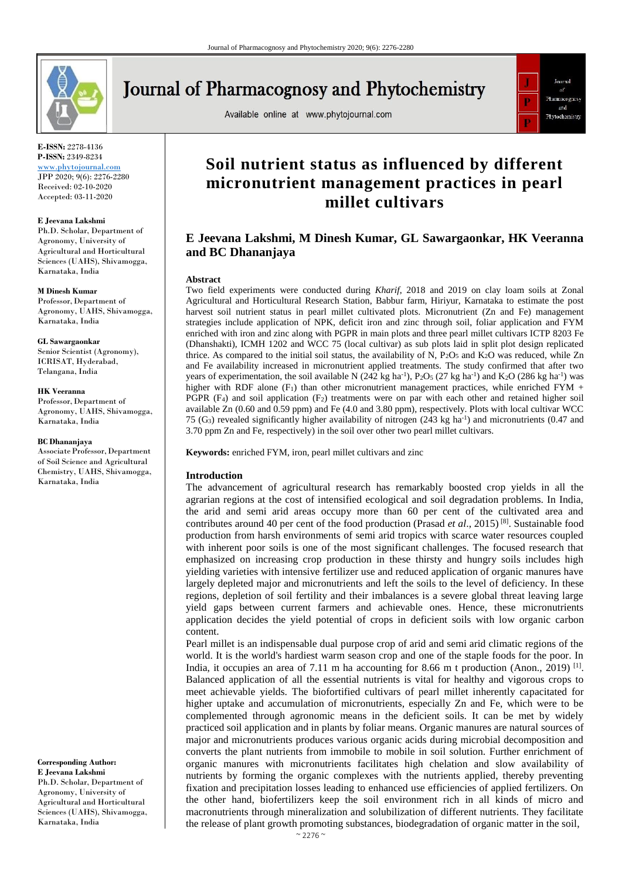

# **Journal of Pharmacognosy and Phytochemistry**

Available online at www.phytojournal.com



**E-ISSN:** 2278-4136 **P-ISSN:** 2349-8234

<www.phytojournal.com> JPP 2020; 9(6): 2276-2280 Received: 02-10-2020 Accepted: 03-11-2020

#### **E Jeevana Lakshmi**

Ph.D. Scholar, Department of Agronomy, University of Agricultural and Horticultural Sciences (UAHS), Shivamogga, Karnataka, India

#### **M Dinesh Kumar**

Professor, Department of Agronomy, UAHS, Shivamogga, Karnataka, India

#### **GL Sawargaonkar**

Senior Scientist (Agronomy), ICRISAT, Hyderabad, Telangana, India

#### **HK Veeranna**

Professor,Department of Agronomy, UAHS, Shivamogga, Karnataka, India

#### **BC Dhananjaya**

AssociateProfessor,Department of Soil Science and Agricultural Chemistry, UAHS, Shivamogga, Karnataka, India

**Corresponding Author: E Jeevana Lakshmi** Ph.D. Scholar, Department of Agronomy, University of Agricultural and Horticultural Sciences (UAHS), Shivamogga, Karnataka, India

## **Soil nutrient status as influenced by different micronutrient management practices in pearl millet cultivars**

### **E Jeevana Lakshmi, M Dinesh Kumar, GL Sawargaonkar, HK Veeranna and BC Dhananjaya**

#### **Abstract**

Two field experiments were conducted during *Kharif*, 2018 and 2019 on clay loam soils at Zonal Agricultural and Horticultural Research Station, Babbur farm, Hiriyur, Karnataka to estimate the post harvest soil nutrient status in pearl millet cultivated plots. Micronutrient (Zn and Fe) management strategies include application of NPK, deficit iron and zinc through soil, foliar application and FYM enriched with iron and zinc along with PGPR in main plots and three pearl millet cultivars ICTP 8203 Fe (Dhanshakti), ICMH 1202 and WCC 75 (local cultivar) as sub plots laid in split plot design replicated thrice. As compared to the initial soil status, the availability of N,  $P_2O_5$  and  $K_2O$  was reduced, while Zn and Fe availability increased in micronutrient applied treatments. The study confirmed that after two years of experimentation, the soil available N (242 kg ha<sup>-1</sup>), P<sub>2</sub>O<sub>5</sub> (27 kg ha<sup>-1</sup>) and K<sub>2</sub>O (286 kg ha<sup>-1</sup>) was higher with RDF alone  $(F_1)$  than other micronutrient management practices, while enriched FYM + PGPR  $(F_4)$  and soil application  $(F_2)$  treatments were on par with each other and retained higher soil available Zn (0.60 and 0.59 ppm) and Fe (4.0 and 3.80 ppm), respectively. Plots with local cultivar WCC 75 (G<sub>3</sub>) revealed significantly higher availability of nitrogen  $(243 \text{ kg ha}^{-1})$  and micronutrients  $(0.47 \text{ and } 1.5 \text{ m})$ 3.70 ppm Zn and Fe, respectively) in the soil over other two pearl millet cultivars.

**Keywords:** enriched FYM, iron, pearl millet cultivars and zinc

#### **Introduction**

The advancement of agricultural research has remarkably boosted crop yields in all the agrarian regions at the cost of intensified ecological and soil degradation problems. In India, the arid and semi arid areas occupy more than 60 per cent of the cultivated area and contributes around 40 per cent of the food production (Prasad *et al*., 2015) [8]. Sustainable food production from harsh environments of semi arid tropics with scarce water resources coupled with inherent poor soils is one of the most significant challenges. The focused research that emphasized on increasing crop production in these thirsty and hungry soils includes high yielding varieties with intensive fertilizer use and reduced application of organic manures have largely depleted major and micronutrients and left the soils to the level of deficiency. In these regions, depletion of soil fertility and their imbalances is a severe global threat leaving large yield gaps between current farmers and achievable ones. Hence, these micronutrients application decides the yield potential of crops in deficient soils with low organic carbon content.

Pearl millet is an indispensable dual purpose crop of arid and semi arid climatic regions of the world. It is the world's hardiest warm season crop and one of the staple foods for the poor. In India, it occupies an area of 7.11 m ha accounting for 8.66 m t production (Anon., 2019)<sup>[1]</sup>. Balanced application of all the essential nutrients is vital for healthy and vigorous crops to meet achievable yields. The biofortified cultivars of pearl millet inherently capacitated for higher uptake and accumulation of micronutrients, especially Zn and Fe, which were to be complemented through agronomic means in the deficient soils. It can be met by widely practiced soil application and in plants by foliar means. Organic manures are natural sources of major and micronutrients produces various organic acids during microbial decomposition and converts the plant nutrients from immobile to mobile in soil solution. Further enrichment of organic manures with micronutrients facilitates high chelation and slow availability of nutrients by forming the organic complexes with the nutrients applied, thereby preventing fixation and precipitation losses leading to enhanced use efficiencies of applied fertilizers. On the other hand, biofertilizers keep the soil environment rich in all kinds of micro and macronutrients through mineralization and solubilization of different nutrients. They facilitate the release of plant growth promoting substances, biodegradation of organic matter in the soil,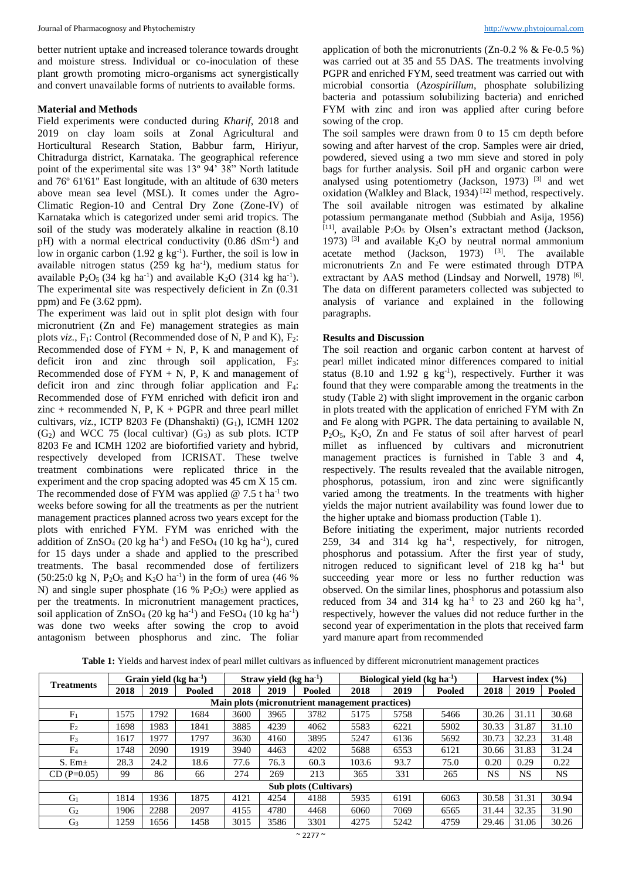better nutrient uptake and increased tolerance towards drought and moisture stress. Individual or co-inoculation of these plant growth promoting micro-organisms act synergistically and convert unavailable forms of nutrients to available forms.

#### **Material and Methods**

Field experiments were conducted during *Kharif*, 2018 and 2019 on clay loam soils at Zonal Agricultural and Horticultural Research Station, Babbur farm, Hiriyur, Chitradurga district, Karnataka. The geographical reference point of the experimental site was 13<sup>°</sup> 94' 38" North latitude and 76º 61'61" East longitude, with an altitude of 630 meters above mean sea level (MSL). It comes under the Agro-Climatic Region-10 and Central Dry Zone (Zone-IV) of Karnataka which is categorized under semi arid tropics. The soil of the study was moderately alkaline in reaction (8.10 pH) with a normal electrical conductivity (0.86 dSm<sup>-1</sup>) and low in organic carbon  $(1.92 \text{ g kg}^{-1})$ . Further, the soil is low in available nitrogen status  $(259 \text{ kg} \text{ ha}^{-1})$ , medium status for available  $P_2O_5$  (34 kg ha<sup>-1</sup>) and available  $K_2O$  (314 kg ha<sup>-1</sup>). The experimental site was respectively deficient in Zn (0.31 ppm) and Fe (3.62 ppm).

The experiment was laid out in split plot design with four micronutrient (Zn and Fe) management strategies as main plots  $viz.$ ,  $F_1$ : Control (Recommended dose of N, P and K),  $F_2$ : Recommended dose of  $FYM + N$ , P, K and management of deficit iron and zinc through soil application, F<sub>3</sub>: Recommended dose of  $FYM + N$ , P, K and management of deficit iron and zinc through foliar application and F4: Recommended dose of FYM enriched with deficit iron and zinc + recommended N, P,  $K$  + PGPR and three pearl millet cultivars,  $viz.$ , ICTP 8203 Fe (Dhanshakti)  $(G<sub>1</sub>)$ , ICMH 1202  $(G<sub>2</sub>)$  and WCC 75 (local cultivar)  $(G<sub>3</sub>)$  as sub plots. ICTP 8203 Fe and ICMH 1202 are biofortified variety and hybrid, respectively developed from ICRISAT. These twelve treatment combinations were replicated thrice in the experiment and the crop spacing adopted was 45 cm X 15 cm. The recommended dose of FYM was applied  $@ 7.5$  t ha<sup>-1</sup> two weeks before sowing for all the treatments as per the nutrient management practices planned across two years except for the plots with enriched FYM. FYM was enriched with the addition of  $ZnSO_4$  (20 kg ha<sup>-1</sup>) and FeSO<sub>4</sub> (10 kg ha<sup>-1</sup>), cured for 15 days under a shade and applied to the prescribed treatments. The basal recommended dose of fertilizers  $(50:25:0 \text{ kg N}, P_2O_5 \text{ and } K_2O \text{ ha}^{-1})$  in the form of urea (46 %) N) and single super phosphate (16 %  $P_2O_5$ ) were applied as per the treatments. In micronutrient management practices, soil application of  $ZnSO<sub>4</sub>$  (20 kg ha<sup>-1</sup>) and FeSO<sub>4</sub> (10 kg ha<sup>-1</sup>) was done two weeks after sowing the crop to avoid antagonism between phosphorus and zinc. The foliar

application of both the micronutrients  $(Zn-0.2 %$  & Fe-0.5 %) was carried out at 35 and 55 DAS. The treatments involving PGPR and enriched FYM, seed treatment was carried out with microbial consortia (*Azospirillum*, phosphate solubilizing bacteria and potassium solubilizing bacteria) and enriched FYM with zinc and iron was applied after curing before sowing of the crop.

The soil samples were drawn from 0 to 15 cm depth before sowing and after harvest of the crop. Samples were air dried, powdered, sieved using a two mm sieve and stored in poly bags for further analysis. Soil pH and organic carbon were analysed using potentiometry (Jackson, 1973)<sup>[3]</sup> and wet  $\alpha$  analyses along procedure and Black,  $1934$ )  $^{[12]}$  method, respectively. The soil available nitrogen was estimated by alkaline potassium permanganate method (Subbiah and Asija, 1956)  $[11]$ , available P<sub>2</sub>O<sub>5</sub> by Olsen's extractant method (Jackson, 1973)  $^{[3]}$  and available K<sub>2</sub>O by neutral normal ammonium acetate method (Jackson, 1973)  $[3]$ . The available micronutrients Zn and Fe were estimated through DTPA extractant by AAS method (Lindsay and Norwell, 1978)<sup>[6]</sup>. The data on different parameters collected was subjected to analysis of variance and explained in the following paragraphs.

#### **Results and Discussion**

The soil reaction and organic carbon content at harvest of pearl millet indicated minor differences compared to initial status  $(8.10 \text{ and } 1.92 \text{ g kg}^{-1})$ , respectively. Further it was found that they were comparable among the treatments in the study (Table 2) with slight improvement in the organic carbon in plots treated with the application of enriched FYM with Zn and Fe along with PGPR. The data pertaining to available N,  $P_2O_5$ ,  $K_2O$ ,  $Zn$  and Fe status of soil after harvest of pearl millet as influenced by cultivars and micronutrient management practices is furnished in Table 3 and 4, respectively. The results revealed that the available nitrogen, phosphorus, potassium, iron and zinc were significantly varied among the treatments. In the treatments with higher yields the major nutrient availability was found lower due to the higher uptake and biomass production (Table 1).

Before initiating the experiment, major nutrients recorded  $259$ ,  $34$  and  $314$  kg ha<sup>-1</sup>, respectively, for nitrogen, phosphorus and potassium. After the first year of study, nitrogen reduced to significant level of  $218 \text{ kg}$  ha<sup>-1</sup> but succeeding year more or less no further reduction was observed. On the similar lines, phosphorus and potassium also reduced from 34 and 314 kg ha<sup>-1</sup> to 23 and 260 kg ha<sup>-1</sup>, respectively, however the values did not reduce further in the second year of experimentation in the plots that received farm yard manure apart from recommended

|          |                            |                            | <b>Table 1:</b> Yields and harvest index of pearl millet cultivars as influenced by different micronutrient management practices |                       |
|----------|----------------------------|----------------------------|----------------------------------------------------------------------------------------------------------------------------------|-----------------------|
| eatments | Grain yield $(kg ha^{-1})$ | Straw vield $(kg ha^{-1})$ | Biological yield $(kg ha-1)$                                                                                                     | Harvest index $(\% )$ |
|          |                            |                            |                                                                                                                                  |                       |

| <b>Treatments</b>            | Grain yield $(kg ha^{-1})$                      |      | Straw yield $(kg ha^{-1})$ |      | Biological vield $(kg ha-1)$ |        |       | Harvest index $(\% )$ |        |       |           |           |
|------------------------------|-------------------------------------------------|------|----------------------------|------|------------------------------|--------|-------|-----------------------|--------|-------|-----------|-----------|
|                              | 2018                                            | 2019 | Pooled                     | 2018 | 2019                         | Pooled | 2018  | 2019                  | Pooled | 2018  | 2019      | Pooled    |
|                              | Main plots (micronutrient management practices) |      |                            |      |                              |        |       |                       |        |       |           |           |
| F <sub>1</sub>               | 1575                                            | 792  | 1684                       | 3600 | 3965                         | 3782   | 5175  | 5758                  | 5466   | 30.26 | 31.11     | 30.68     |
| F <sub>2</sub>               | 1698                                            | 1983 | 1841                       | 3885 | 4239                         | 4062   | 5583  | 6221                  | 5902   | 30.33 | 31.87     | 31.10     |
| F <sub>3</sub>               | 1617                                            | 1977 | 1797                       | 3630 | 4160                         | 3895   | 5247  | 6136                  | 5692   | 30.73 | 32.23     | 31.48     |
| F <sub>4</sub>               | 1748                                            | 2090 | 1919                       | 3940 | 4463                         | 4202   | 5688  | 6553                  | 6121   | 30.66 | 31.83     | 31.24     |
| $S.$ Em $\pm$                | 28.3                                            | 24.2 | 18.6                       | 77.6 | 76.3                         | 60.3   | 103.6 | 93.7                  | 75.0   | 0.20  | 0.29      | 0.22      |
| $CD (P=0.05)$                | 99                                              | 86   | 66                         | 274  | 269                          | 213    | 365   | 331                   | 265    | NS.   | <b>NS</b> | <b>NS</b> |
| <b>Sub plots (Cultivars)</b> |                                                 |      |                            |      |                              |        |       |                       |        |       |           |           |
| G <sub>1</sub>               | 1814                                            | 1936 | 1875                       | 4121 | 4254                         | 4188   | 5935  | 6191                  | 6063   | 30.58 | 31.31     | 30.94     |
| G <sub>2</sub>               | 1906                                            | 2288 | 2097                       | 4155 | 4780                         | 4468   | 6060  | 7069                  | 6565   | 31.44 | 32.35     | 31.90     |
| G <sub>3</sub>               | 1259                                            | 1656 | 1458                       | 3015 | 3586                         | 3301   | 4275  | 5242                  | 4759   | 29.46 | 31.06     | 30.26     |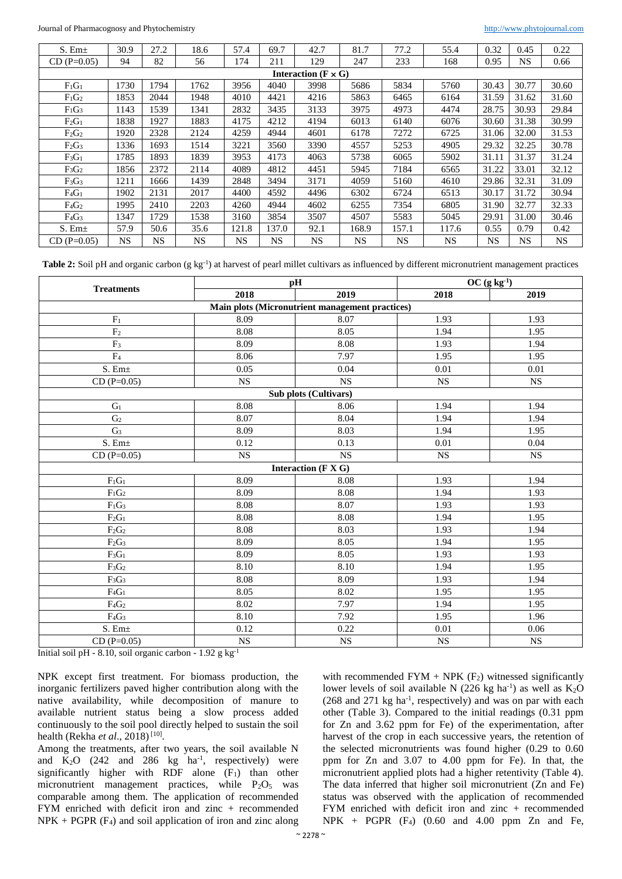| $S.$ Em $\pm$                | 30.9      | 27.2 | 18.6 | 57.4  | 69.7  | 42.7      | 81.7      | 77.2  | 55.4      | 0.32  | 0.45      | 0.22  |
|------------------------------|-----------|------|------|-------|-------|-----------|-----------|-------|-----------|-------|-----------|-------|
| $CD (P=0.05)$                | 94        | 82   | 56   | 174   | 211   | 129       | 247       | 233   | 168       | 0.95  | <b>NS</b> | 0.66  |
| Interaction ( $F \times G$ ) |           |      |      |       |       |           |           |       |           |       |           |       |
| $F_1G_1$                     | 1730      | 1794 | 1762 | 3956  | 4040  | 3998      | 5686      | 5834  | 5760      | 30.43 | 30.77     | 30.60 |
| $F_1G_2$                     | 1853      | 2044 | 1948 | 4010  | 4421  | 4216      | 5863      | 6465  | 6164      | 31.59 | 31.62     | 31.60 |
| $F_1G_3$                     | 1143      | 1539 | 1341 | 2832  | 3435  | 3133      | 3975      | 4973  | 4474      | 28.75 | 30.93     | 29.84 |
| $F_2G_1$                     | 1838      | 1927 | 1883 | 4175  | 4212  | 4194      | 6013      | 6140  | 6076      | 30.60 | 31.38     | 30.99 |
| $F_2G_2$                     | 1920      | 2328 | 2124 | 4259  | 4944  | 4601      | 6178      | 7272  | 6725      | 31.06 | 32.00     | 31.53 |
| $F_2G_3$                     | 1336      | 1693 | 1514 | 3221  | 3560  | 3390      | 4557      | 5253  | 4905      | 29.32 | 32.25     | 30.78 |
| $F_3G_1$                     | 1785      | 1893 | 1839 | 3953  | 4173  | 4063      | 5738      | 6065  | 5902      | 31.11 | 31.37     | 31.24 |
| $F_3G_2$                     | 1856      | 2372 | 2114 | 4089  | 4812  | 4451      | 5945      | 7184  | 6565      | 31.22 | 33.01     | 32.12 |
| $F_3G_3$                     | 1211      | 1666 | 1439 | 2848  | 3494  | 3171      | 4059      | 5160  | 4610      | 29.86 | 32.31     | 31.09 |
| $F_4G_1$                     | 1902      | 2131 | 2017 | 4400  | 4592  | 4496      | 6302      | 6724  | 6513      | 30.17 | 31.72     | 30.94 |
| $F_4G_2$                     | 1995      | 2410 | 2203 | 4260  | 4944  | 4602      | 6255      | 7354  | 6805      | 31.90 | 32.77     | 32.33 |
| $F_4G_3$                     | 1347      | 1729 | 1538 | 3160  | 3854  | 3507      | 4507      | 5583  | 5045      | 29.91 | 31.00     | 30.46 |
| $S.$ Em $\pm$                | 57.9      | 50.6 | 35.6 | 121.8 | 137.0 | 92.1      | 168.9     | 157.1 | 117.6     | 0.55  | 0.79      | 0.42  |
| $CD (P=0.05)$                | <b>NS</b> | NS   | NS.  | NS    | NS    | <b>NS</b> | <b>NS</b> | NS.   | <b>NS</b> | NS    | <b>NS</b> | NS    |

Table 2: Soil pH and organic carbon (g kg<sup>-1</sup>) at harvest of pearl millet cultivars as influenced by different micronutrient management practices

|                           |           | pH                                              | $OC(g kg-1)$ |           |  |
|---------------------------|-----------|-------------------------------------------------|--------------|-----------|--|
| <b>Treatments</b>         | 2018      | 2019                                            | 2018         | 2019      |  |
|                           |           | Main plots (Micronutrient management practices) |              |           |  |
| $F_1$                     | 8.09      | 8.07                                            | 1.93         | 1.93      |  |
| F <sub>2</sub>            | 8.08      | 8.05                                            | 1.94         | 1.95      |  |
| F <sub>3</sub>            | 8.09      | 8.08                                            | 1.93         | 1.94      |  |
| F <sub>4</sub>            | 8.06      | 7.97                                            | 1.95         | 1.95      |  |
| S. Em <sub>±</sub>        | 0.05      | 0.04                                            | 0.01         | 0.01      |  |
| $CD(P=0.05)$              | <b>NS</b> | <b>NS</b>                                       | <b>NS</b>    | <b>NS</b> |  |
|                           |           | Sub plots (Cultivars)                           |              |           |  |
| G <sub>1</sub>            | 8.08      | 8.06                                            | 1.94         | 1.94      |  |
| G <sub>2</sub>            | 8.07      | 8.04                                            | 1.94         | 1.94      |  |
| G <sub>3</sub>            | 8.09      | 8.03                                            | 1.94         | 1.95      |  |
| $\overline{S}$ . Em $\pm$ | 0.12      | 0.13                                            | 0.01         | 0.04      |  |
| $CD(P=0.05)$              | <b>NS</b> | <b>NS</b>                                       | <b>NS</b>    | <b>NS</b> |  |
|                           |           | Interaction (F X G)                             |              |           |  |
| $F_1G_1$                  | 8.09      | 8.08                                            | 1.93         | 1.94      |  |
| $\rm F_1G_2$              | 8.09      | 8.08                                            | 1.94         | 1.93      |  |
| $F_1G_3$                  | 8.08      | 8.07                                            | 1.93         | 1.93      |  |
| $F_2G_1$                  | 8.08      | 8.08                                            | 1.94         | 1.95      |  |
| $F_2G_2$                  | 8.08      | 8.03                                            | 1.93         | 1.94      |  |
| $F_2G_3$                  | 8.09      | 8.05                                            | 1.94         | 1.95      |  |
| $F_3G_1$                  | 8.09      | 8.05                                            | 1.93         | 1.93      |  |
| $F_3G_2$                  | 8.10      | 8.10                                            | 1.94         | 1.95      |  |
| $F_3G_3$                  | 8.08      | 8.09                                            | 1.93         | 1.94      |  |
| $F_4G_1$                  | 8.05      | 8.02                                            | 1.95         | 1.95      |  |
| $F_4G_2$                  | 8.02      | 7.97                                            | 1.94         | 1.95      |  |
| $F_4G_3$                  | 8.10      | 7.92                                            | 1.95         | 1.96      |  |
| $S.$ Em $\pm$             | 0.12      | 0.22                                            | 0.01         | 0.06      |  |
| $CD(P=0.05)$              | NS        | NS                                              | NS           | <b>NS</b> |  |

Initial soil pH - 8.10, soil organic carbon -  $1.92$  g kg<sup>-1</sup>

NPK except first treatment. For biomass production, the inorganic fertilizers paved higher contribution along with the native availability, while decomposition of manure to available nutrient status being a slow process added continuously to the soil pool directly helped to sustain the soil health (Rekha *et al.*, 2018)<sup>[10]</sup>.

Among the treatments, after two years, the soil available N and  $K_2O$  (242 and 286 kg ha<sup>-1</sup>, respectively) were significantly higher with RDF alone  $(F_1)$  than other micronutrient management practices, while  $P_2O_5$  was comparable among them. The application of recommended FYM enriched with deficit iron and zinc + recommended  $NPK + PGPR$  (F<sub>4</sub>) and soil application of iron and zinc along

with recommended FYM + NPK  $(F_2)$  witnessed significantly lower levels of soil available N  $(226 \text{ kg ha}^{-1})$  as well as  $K_2O$  $(268 \text{ and } 271 \text{ kg ha}^{-1})$ , respectively) and was on par with each other (Table 3). Compared to the initial readings (0.31 ppm for Zn and 3.62 ppm for Fe) of the experimentation, after harvest of the crop in each successive years, the retention of the selected micronutrients was found higher (0.29 to 0.60 ppm for Zn and 3.07 to 4.00 ppm for Fe). In that, the micronutrient applied plots had a higher retentivity (Table 4). The data inferred that higher soil micronutrient (Zn and Fe) status was observed with the application of recommended FYM enriched with deficit iron and zinc + recommended  $NPK$  + PGPR  $(F_4)$   $(0.60$  and 4.00 ppm Zn and Fe,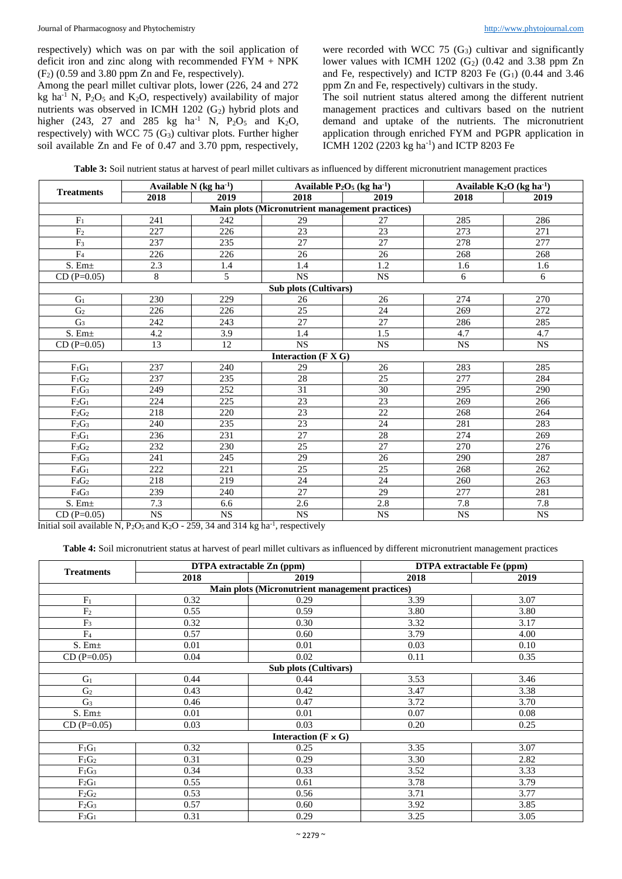respectively) which was on par with the soil application of deficit iron and zinc along with recommended FYM + NPK  $(F<sub>2</sub>)$  (0.59 and 3.80 ppm Zn and Fe, respectively).

Among the pearl millet cultivar plots, lower (226, 24 and 272 kg ha<sup>-1</sup> N,  $P_2O_5$  and K<sub>2</sub>O, respectively) availability of major nutrients was observed in ICMH 1202  $(G<sub>2</sub>)$  hybrid plots and higher (243, 27 and 285 kg ha<sup>-1</sup> N,  $P_2O_5$  and K<sub>2</sub>O, respectively) with WCC 75  $(G_3)$  cultivar plots. Further higher soil available Zn and Fe of 0.47 and 3.70 ppm, respectively, were recorded with WCC 75  $(G_3)$  cultivar and significantly lower values with ICMH 1202  $(G_2)$  (0.42 and 3.38 ppm Zn and Fe, respectively) and ICTP 8203 Fe  $(G_1)$  (0.44 and 3.46) ppm Zn and Fe, respectively) cultivars in the study.

The soil nutrient status altered among the different nutrient management practices and cultivars based on the nutrient demand and uptake of the nutrients. The micronutrient application through enriched FYM and PGPR application in ICMH 1202 (2203 kg ha-1 ) and ICTP 8203 Fe

| <b>Table 3:</b> Soil nutrient status at harvest of pearl millet cultivars as influenced by different micronutrient management practices |  |  |  |
|-----------------------------------------------------------------------------------------------------------------------------------------|--|--|--|
|-----------------------------------------------------------------------------------------------------------------------------------------|--|--|--|

|                   |                  | Available $N$ (kg ha <sup>-1</sup> ) | Available $P_2O_5$ (kg ha <sup>-1</sup> )          |                        | Available $K_2O$ (kg ha <sup>-1</sup> ) |                        |  |
|-------------------|------------------|--------------------------------------|----------------------------------------------------|------------------------|-----------------------------------------|------------------------|--|
| <b>Treatments</b> | 2018             | 2019                                 | 2018                                               | 2019                   | 2018                                    | 2019                   |  |
|                   |                  |                                      | Main plots (Micronutrient management practices)    |                        |                                         |                        |  |
| F <sub>1</sub>    | 241              | 242                                  | 29                                                 | 27                     | 285                                     | 286                    |  |
| F <sub>2</sub>    | 227              | 226                                  | $\overline{23}$                                    | $\overline{23}$        | 273                                     | 271                    |  |
| $\overline{F_3}$  | 237              | 235                                  | 27                                                 | 27                     | 278                                     | 277                    |  |
| $\overline{F_4}$  | 226              | 226                                  | 26                                                 | 26                     | 268                                     | 268                    |  |
| S. $Em±$          | 2.3              | 1.4                                  | 1.4                                                | 1.2                    | 1.6                                     | 1.6                    |  |
| $CD(P=0.05)$      | 8                | 5                                    | <b>NS</b>                                          | $_{\rm NS}$            | $\sqrt{6}$                              | 6                      |  |
|                   |                  |                                      | Sub plots (Cultivars)                              |                        |                                         |                        |  |
| $G_1$             | 230              | 229                                  | 26                                                 | 26                     | 274                                     | 270                    |  |
| $\overline{G_2}$  | 226              | 226                                  | 25                                                 | 24                     | 269                                     | 272                    |  |
| G <sub>3</sub>    | 242              | 243                                  | 27                                                 | 27                     | 286                                     | 285                    |  |
| $S.$ Em $\pm$     | 4.2              | 3.9                                  | 1.4                                                | 1.5                    | 4.7                                     | 4.7                    |  |
| $CD (P=0.05)$     | 13               | 12                                   | <b>NS</b>                                          | <b>NS</b>              | <b>NS</b>                               | <b>NS</b>              |  |
|                   |                  |                                      | Interaction ( $\mathbf{F} \mathbf{X} \mathbf{G}$ ) |                        |                                         |                        |  |
| $F_1G_1$          | 237              | 240                                  | 29                                                 | 26                     | 283                                     | 285                    |  |
| $F_1G_2$          | 237              | 235                                  | 28                                                 | 25                     | 277                                     | 284                    |  |
| $F_1G_3$          | 249              | 252                                  | 31                                                 | 30                     | 295                                     | 290                    |  |
| $F_2G_1$          | 224              | 225                                  | 23                                                 | 23                     | 269                                     | 266                    |  |
| $F_2G_2$          | 218              | 220                                  | 23                                                 | 22                     | 268                                     | 264                    |  |
| $F_2G_3$          | 240              | 235                                  | 23                                                 | 24                     | 281                                     | 283                    |  |
| $F_3G_1$          | 236              | 231                                  | 27                                                 | 28                     | 274                                     | 269                    |  |
| $F_3G_2$          | 232              | 230                                  | 25                                                 | 27                     | 270                                     | 276                    |  |
| $F_3G_3$          | 241              | 245                                  | 29                                                 | 26                     | 290                                     | 287                    |  |
| $F_4G_1$          | 222              | 221                                  | $\overline{25}$                                    | 25                     | 268                                     | 262                    |  |
| $F_4G_2$          | 218              | 219                                  | 24                                                 | 24                     | 260                                     | 263                    |  |
| $F_4G_3$          | 239              | 240                                  | 27                                                 | 29                     | 277                                     | 281                    |  |
| $S.$ Em $\pm$     | $\overline{7.3}$ | 6.6                                  | 2.6                                                | 2.8                    | 7.8                                     | 7.8                    |  |
| $CD(P=0.05)$      | NS               | $\overline{\text{NS}}$               | $\overline{\text{NS}}$                             | $\overline{\text{NS}}$ | <b>NS</b>                               | $\overline{\text{NS}}$ |  |

Initial soil available N,  $P_2O_5$  and  $K_2O - 259$ , 34 and 314 kg ha<sup>-1</sup>, respectively

**Table 4:** Soil micronutrient status at harvest of pearl millet cultivars as influenced by different micronutrient management practices

|                                                        | DTPA extractable Zn (ppm) |                              | <b>DTPA</b> extractable Fe (ppm) |      |  |  |  |  |  |
|--------------------------------------------------------|---------------------------|------------------------------|----------------------------------|------|--|--|--|--|--|
| <b>Treatments</b>                                      | 2018                      | 2019                         | 2018                             | 2019 |  |  |  |  |  |
| <b>Main plots (Micronutrient management practices)</b> |                           |                              |                                  |      |  |  |  |  |  |
| F <sub>1</sub>                                         | 0.32                      | 0.29                         | 3.39                             | 3.07 |  |  |  |  |  |
| F <sub>2</sub>                                         | 0.55                      | 0.59                         | 3.80                             | 3.80 |  |  |  |  |  |
| F <sub>3</sub>                                         | 0.32                      | 0.30                         | 3.32                             | 3.17 |  |  |  |  |  |
| F <sub>4</sub>                                         | 0.57                      | 0.60                         | 3.79                             | 4.00 |  |  |  |  |  |
| S. Em <sub>±</sub>                                     | 0.01                      | 0.01                         | 0.03                             | 0.10 |  |  |  |  |  |
| $CD(P=0.05)$                                           | 0.04                      | 0.02                         | 0.11                             | 0.35 |  |  |  |  |  |
| Sub plots (Cultivars)                                  |                           |                              |                                  |      |  |  |  |  |  |
| G <sub>1</sub>                                         | 0.44                      | 0.44                         | 3.53                             | 3.46 |  |  |  |  |  |
| G <sub>2</sub>                                         | 0.43                      | 0.42                         | 3.47                             | 3.38 |  |  |  |  |  |
| G <sub>3</sub>                                         | 0.46                      | 0.47                         | 3.72                             | 3.70 |  |  |  |  |  |
| $S.$ Em $\pm$                                          | 0.01                      | 0.01                         | 0.07                             | 0.08 |  |  |  |  |  |
| $CD(P=0.05)$                                           | 0.03                      | 0.03                         | 0.20                             | 0.25 |  |  |  |  |  |
|                                                        |                           | Interaction ( $F \times G$ ) |                                  |      |  |  |  |  |  |
| $F_1G_1$                                               | 0.32                      | 0.25                         | 3.35                             | 3.07 |  |  |  |  |  |
| $F_1G_2$                                               | 0.31                      | 0.29                         | 3.30                             | 2.82 |  |  |  |  |  |
| $F_1G_3$                                               | 0.34                      | 0.33                         | 3.52                             | 3.33 |  |  |  |  |  |
| $F_2G_1$                                               | 0.55                      | 0.61                         | 3.78                             | 3.79 |  |  |  |  |  |
| $F_2G_2$                                               | 0.53                      | 0.56                         | 3.71                             | 3.77 |  |  |  |  |  |
| $F_2G_3$                                               | 0.57                      | 0.60                         | 3.92                             | 3.85 |  |  |  |  |  |
| $F_3G_1$                                               | 0.31                      | 0.29                         | 3.25                             | 3.05 |  |  |  |  |  |